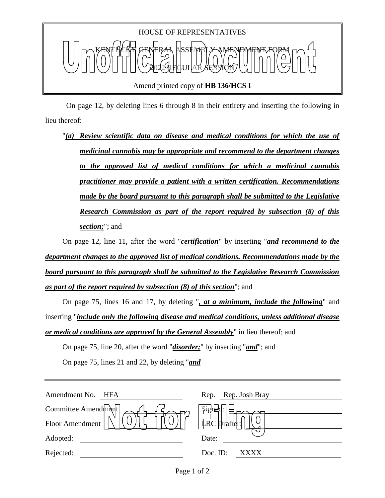

 On page 12, by deleting lines 6 through 8 in their entirety and inserting the following in lieu thereof:

"*(a) Review scientific data on disease and medical conditions for which the use of medicinal cannabis may be appropriate and recommend to the department changes to the approved list of medical conditions for which a medicinal cannabis practitioner may provide a patient with a written certification. Recommendations made by the board pursuant to this paragraph shall be submitted to the Legislative Research Commission as part of the report required by subsection (8) of this section;*"; and

On page 12, line 11, after the word "*certification*" by inserting "*and recommend to the department changes to the approved list of medical conditions. Recommendations made by the board pursuant to this paragraph shall be submitted to the Legislative Research Commission as part of the report required by subsection (8) of this section*"; and

On page 75, lines 16 and 17, by deleting "*, at a minimum, include the following*" and inserting "*include only the following disease and medical conditions, unless additional disease or medical conditions are approved by the General Assembly*" in lieu thereof; and

On page 75, line 20, after the word "*disorder;*" by inserting "*and*"; and

On page 75, lines 21 and 22, by deleting "*and*

| Amendment No. HFA   | Rep. Rep. Josh Bray |
|---------------------|---------------------|
| Committee Amendment |                     |
| Floor Amendment     | <b>LRC Prafter</b>  |
| Adopted:            | Date:               |
| Rejected:           | Doc. ID:<br>XXXX    |